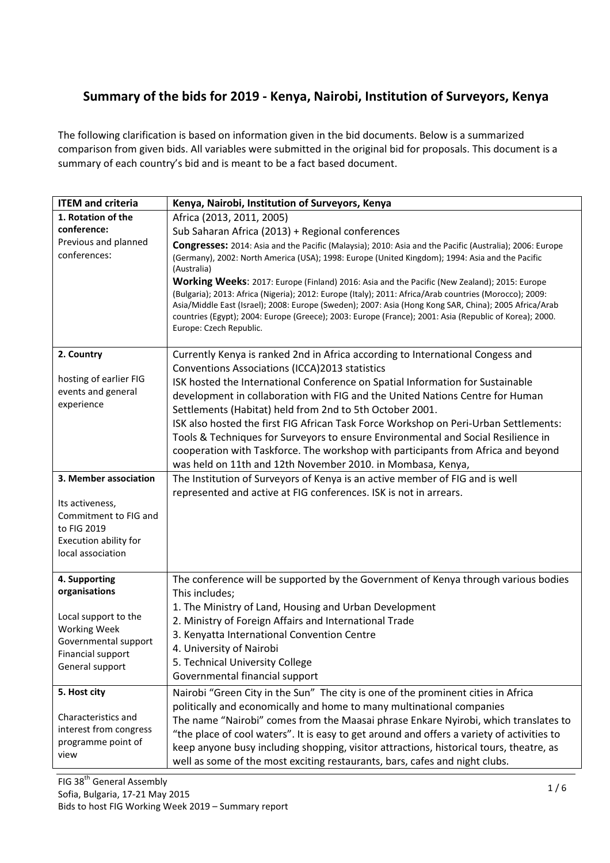## Summary of the bids for 2019 - Kenya, Nairobi, Institution of Surveyors, Kenya

The following clarification is based on information given in the bid documents. Below is a summarized comparison from given bids. All variables were submitted in the original bid for proposals. This document is a summary of each country's bid and is meant to be a fact based document.

| <b>ITEM and criteria</b>                                                                                                                      | Kenya, Nairobi, Institution of Surveyors, Kenya                                                                                                                                                                                                                                                                                                                                                                                                                                                                                                                                                                                                                                                                                                                    |  |  |
|-----------------------------------------------------------------------------------------------------------------------------------------------|--------------------------------------------------------------------------------------------------------------------------------------------------------------------------------------------------------------------------------------------------------------------------------------------------------------------------------------------------------------------------------------------------------------------------------------------------------------------------------------------------------------------------------------------------------------------------------------------------------------------------------------------------------------------------------------------------------------------------------------------------------------------|--|--|
| 1. Rotation of the<br>conference:<br>Previous and planned<br>conferences:                                                                     | Africa (2013, 2011, 2005)<br>Sub Saharan Africa (2013) + Regional conferences<br>Congresses: 2014: Asia and the Pacific (Malaysia); 2010: Asia and the Pacific (Australia); 2006: Europe<br>(Germany), 2002: North America (USA); 1998: Europe (United Kingdom); 1994: Asia and the Pacific<br>(Australia)<br>Working Weeks: 2017: Europe (Finland) 2016: Asia and the Pacific (New Zealand); 2015: Europe<br>(Bulgaria); 2013: Africa (Nigeria); 2012: Europe (Italy); 2011: Africa/Arab countries (Morocco); 2009:<br>Asia/Middle East (Israel); 2008: Europe (Sweden); 2007: Asia (Hong Kong SAR, China); 2005 Africa/Arab<br>countries (Egypt); 2004: Europe (Greece); 2003: Europe (France); 2001: Asia (Republic of Korea); 2000.<br>Europe: Czech Republic. |  |  |
| 2. Country<br>hosting of earlier FIG<br>events and general<br>experience                                                                      | Currently Kenya is ranked 2nd in Africa according to International Congess and<br>Conventions Associations (ICCA)2013 statistics<br>ISK hosted the International Conference on Spatial Information for Sustainable<br>development in collaboration with FIG and the United Nations Centre for Human<br>Settlements (Habitat) held from 2nd to 5th October 2001.<br>ISK also hosted the first FIG African Task Force Workshop on Peri-Urban Settlements:<br>Tools & Techniques for Surveyors to ensure Environmental and Social Resilience in<br>cooperation with Taskforce. The workshop with participants from Africa and beyond<br>was held on 11th and 12th November 2010. in Mombasa, Kenya,                                                                   |  |  |
| 3. Member association<br>Its activeness,<br>Commitment to FIG and<br>to FIG 2019<br>Execution ability for<br>local association                | The Institution of Surveyors of Kenya is an active member of FIG and is well<br>represented and active at FIG conferences. ISK is not in arrears.                                                                                                                                                                                                                                                                                                                                                                                                                                                                                                                                                                                                                  |  |  |
| 4. Supporting<br>organisations<br>Local support to the<br><b>Working Week</b><br>Governmental support<br>Financial support<br>General support | The conference will be supported by the Government of Kenya through various bodies<br>This includes;<br>1. The Ministry of Land, Housing and Urban Development<br>2. Ministry of Foreign Affairs and International Trade<br>3. Kenyatta International Convention Centre<br>4. University of Nairobi<br>5. Technical University College<br>Governmental financial support                                                                                                                                                                                                                                                                                                                                                                                           |  |  |
| 5. Host city<br>Characteristics and<br>interest from congress<br>programme point of<br>view                                                   | Nairobi "Green City in the Sun" The city is one of the prominent cities in Africa<br>politically and economically and home to many multinational companies<br>The name "Nairobi" comes from the Maasai phrase Enkare Nyirobi, which translates to<br>"the place of cool waters". It is easy to get around and offers a variety of activities to<br>keep anyone busy including shopping, visitor attractions, historical tours, theatre, as<br>well as some of the most exciting restaurants, bars, cafes and night clubs.                                                                                                                                                                                                                                          |  |  |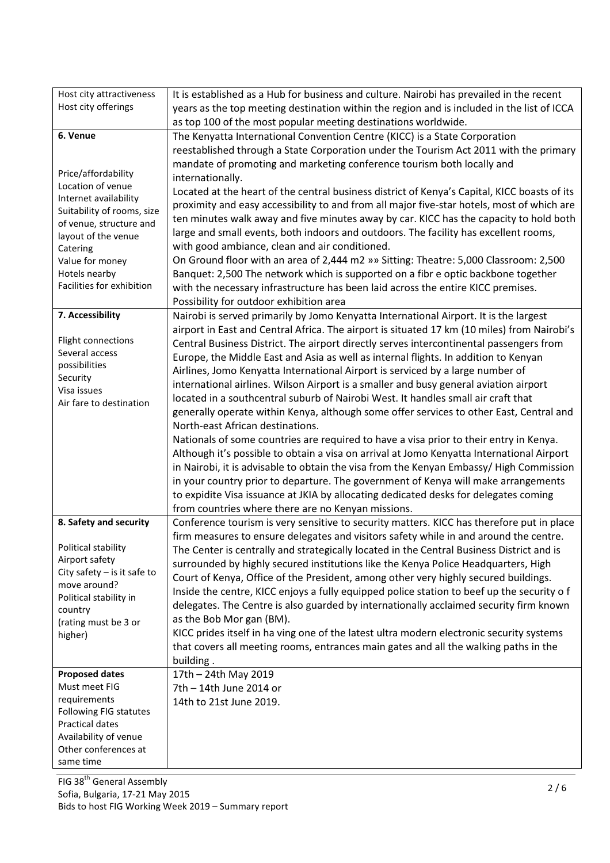| Host city attractiveness        | It is established as a Hub for business and culture. Nairobi has prevailed in the recent     |  |  |  |
|---------------------------------|----------------------------------------------------------------------------------------------|--|--|--|
| Host city offerings             | years as the top meeting destination within the region and is included in the list of ICCA   |  |  |  |
|                                 | as top 100 of the most popular meeting destinations worldwide.                               |  |  |  |
| 6. Venue                        | The Kenyatta International Convention Centre (KICC) is a State Corporation                   |  |  |  |
|                                 | reestablished through a State Corporation under the Tourism Act 2011 with the primary        |  |  |  |
|                                 | mandate of promoting and marketing conference tourism both locally and                       |  |  |  |
| Price/affordability             | internationally.                                                                             |  |  |  |
| Location of venue               | Located at the heart of the central business district of Kenya's Capital, KICC boasts of its |  |  |  |
| Internet availability           | proximity and easy accessibility to and from all major five-star hotels, most of which are   |  |  |  |
| Suitability of rooms, size      | ten minutes walk away and five minutes away by car. KICC has the capacity to hold both       |  |  |  |
| of venue, structure and         | large and small events, both indoors and outdoors. The facility has excellent rooms,         |  |  |  |
| layout of the venue<br>Catering | with good ambiance, clean and air conditioned.                                               |  |  |  |
| Value for money                 | On Ground floor with an area of 2,444 m2 » >> Sitting: Theatre: 5,000 Classroom: 2,500       |  |  |  |
| Hotels nearby                   | Banquet: 2,500 The network which is supported on a fibr e optic backbone together            |  |  |  |
| Facilities for exhibition       | with the necessary infrastructure has been laid across the entire KICC premises.             |  |  |  |
|                                 | Possibility for outdoor exhibition area                                                      |  |  |  |
| 7. Accessibility                |                                                                                              |  |  |  |
|                                 | Nairobi is served primarily by Jomo Kenyatta International Airport. It is the largest        |  |  |  |
| Flight connections              | airport in East and Central Africa. The airport is situated 17 km (10 miles) from Nairobi's  |  |  |  |
| Several access                  | Central Business District. The airport directly serves intercontinental passengers from      |  |  |  |
| possibilities                   | Europe, the Middle East and Asia as well as internal flights. In addition to Kenyan          |  |  |  |
| Security                        | Airlines, Jomo Kenyatta International Airport is serviced by a large number of               |  |  |  |
| Visa issues                     | international airlines. Wilson Airport is a smaller and busy general aviation airport        |  |  |  |
| Air fare to destination         | located in a southcentral suburb of Nairobi West. It handles small air craft that            |  |  |  |
|                                 | generally operate within Kenya, although some offer services to other East, Central and      |  |  |  |
|                                 | North-east African destinations.                                                             |  |  |  |
|                                 | Nationals of some countries are required to have a visa prior to their entry in Kenya.       |  |  |  |
|                                 | Although it's possible to obtain a visa on arrival at Jomo Kenyatta International Airport    |  |  |  |
|                                 | in Nairobi, it is advisable to obtain the visa from the Kenyan Embassy/ High Commission      |  |  |  |
|                                 | in your country prior to departure. The government of Kenya will make arrangements           |  |  |  |
|                                 | to expidite Visa issuance at JKIA by allocating dedicated desks for delegates coming         |  |  |  |
|                                 | from countries where there are no Kenyan missions.                                           |  |  |  |
| 8. Safety and security          | Conference tourism is very sensitive to security matters. KICC has therefore put in place    |  |  |  |
|                                 | firm measures to ensure delegates and visitors safety while in and around the centre.        |  |  |  |
| Political stability             | The Center is centrally and strategically located in the Central Business District and is    |  |  |  |
| Airport safety                  | surrounded by highly secured institutions like the Kenya Police Headquarters, High           |  |  |  |
| City safety $-$ is it safe to   | Court of Kenya, Office of the President, among other very highly secured buildings.          |  |  |  |
| move around?                    | Inside the centre, KICC enjoys a fully equipped police station to beef up the security o f   |  |  |  |
| Political stability in          | delegates. The Centre is also guarded by internationally acclaimed security firm known       |  |  |  |
| country<br>(rating must be 3 or | as the Bob Mor gan (BM).                                                                     |  |  |  |
| higher)                         | KICC prides itself in ha ving one of the latest ultra modern electronic security systems     |  |  |  |
|                                 | that covers all meeting rooms, entrances main gates and all the walking paths in the         |  |  |  |
|                                 | building.                                                                                    |  |  |  |
| <b>Proposed dates</b>           | 17th - 24th May 2019                                                                         |  |  |  |
| Must meet FIG                   | 7th - 14th June 2014 or                                                                      |  |  |  |
| requirements                    | 14th to 21st June 2019.                                                                      |  |  |  |
| Following FIG statutes          |                                                                                              |  |  |  |
| Practical dates                 |                                                                                              |  |  |  |
| Availability of venue           |                                                                                              |  |  |  |
| Other conferences at            |                                                                                              |  |  |  |
| same time                       |                                                                                              |  |  |  |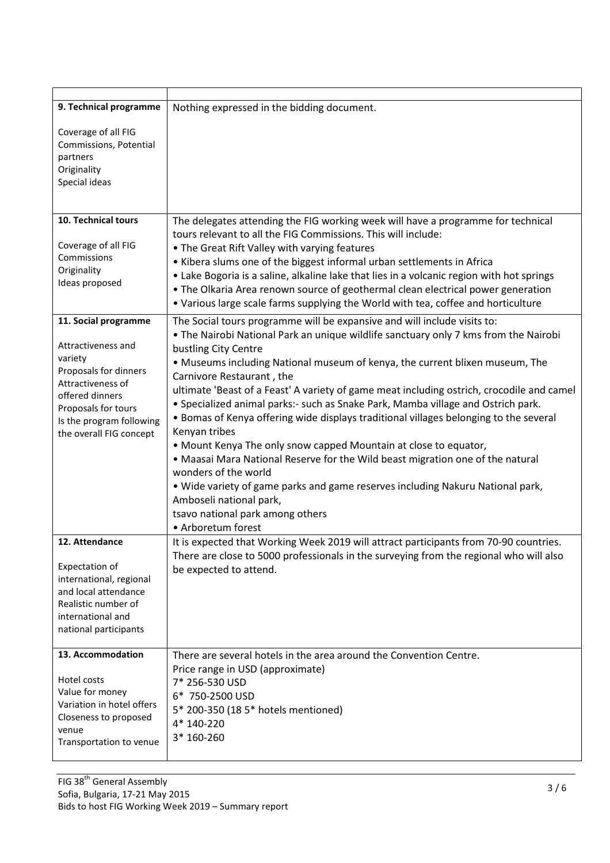| 9. Technical programme                                                                                                                                                       | Nothing expressed in the bidding document.                                                                                                                                                                                                                                                                                                                                                                                                                                                                                                                                                                                                                                                                                                                                                                                                                                |
|------------------------------------------------------------------------------------------------------------------------------------------------------------------------------|---------------------------------------------------------------------------------------------------------------------------------------------------------------------------------------------------------------------------------------------------------------------------------------------------------------------------------------------------------------------------------------------------------------------------------------------------------------------------------------------------------------------------------------------------------------------------------------------------------------------------------------------------------------------------------------------------------------------------------------------------------------------------------------------------------------------------------------------------------------------------|
| Coverage of all FIG<br>Commissions, Potential<br>partners<br>Originality<br>Special ideas                                                                                    |                                                                                                                                                                                                                                                                                                                                                                                                                                                                                                                                                                                                                                                                                                                                                                                                                                                                           |
| 10. Technical tours                                                                                                                                                          | The delegates attending the FIG working week will have a programme for technical                                                                                                                                                                                                                                                                                                                                                                                                                                                                                                                                                                                                                                                                                                                                                                                          |
| Coverage of all FIG<br>Commissions<br>Originality<br>Ideas proposed                                                                                                          | tours relevant to all the FIG Commissions. This will include:<br>• The Great Rift Valley with varying features<br>• Kibera slums one of the biggest informal urban settlements in Africa<br>• Lake Bogoria is a saline, alkaline lake that lies in a volcanic region with hot springs<br>• The Olkaria Area renown source of geothermal clean electrical power generation<br>. Various large scale farms supplying the World with tea, coffee and horticulture                                                                                                                                                                                                                                                                                                                                                                                                            |
| 11. Social programme                                                                                                                                                         | The Social tours programme will be expansive and will include visits to:                                                                                                                                                                                                                                                                                                                                                                                                                                                                                                                                                                                                                                                                                                                                                                                                  |
| Attractiveness and<br>variety<br>Proposals for dinners<br>Attractiveness of<br>offered dinners<br>Proposals for tours<br>Is the program following<br>the overall FIG concept | . The Nairobi National Park an unique wildlife sanctuary only 7 kms from the Nairobi<br>bustling City Centre<br>. Museums including National museum of kenya, the current blixen museum, The<br>Carnivore Restaurant, the<br>ultimate 'Beast of a Feast' A variety of game meat including ostrich, crocodile and camel<br>• Specialized animal parks:- such as Snake Park, Mamba village and Ostrich park.<br>• Bomas of Kenya offering wide displays traditional villages belonging to the several<br>Kenyan tribes<br>• Mount Kenya The only snow capped Mountain at close to equator,<br>. Maasai Mara National Reserve for the Wild beast migration one of the natural<br>wonders of the world<br>. Wide variety of game parks and game reserves including Nakuru National park,<br>Amboseli national park,<br>tsavo national park among others<br>• Arboretum forest |
| 12. Attendance<br>Expectation of<br>international, regional<br>and local attendance<br>Realistic number of<br>international and<br>national participants                     | It is expected that Working Week 2019 will attract participants from 70-90 countries.<br>There are close to 5000 professionals in the surveying from the regional who will also<br>be expected to attend.                                                                                                                                                                                                                                                                                                                                                                                                                                                                                                                                                                                                                                                                 |
| 13. Accommodation<br>Hotel costs<br>Value for money<br>Variation in hotel offers<br>Closeness to proposed<br>venue<br>Transportation to venue                                | There are several hotels in the area around the Convention Centre.<br>Price range in USD (approximate)<br>7* 256-530 USD<br>6* 750-2500 USD<br>5* 200-350 (18 5* hotels mentioned)<br>4* 140-220<br>3* 160-260                                                                                                                                                                                                                                                                                                                                                                                                                                                                                                                                                                                                                                                            |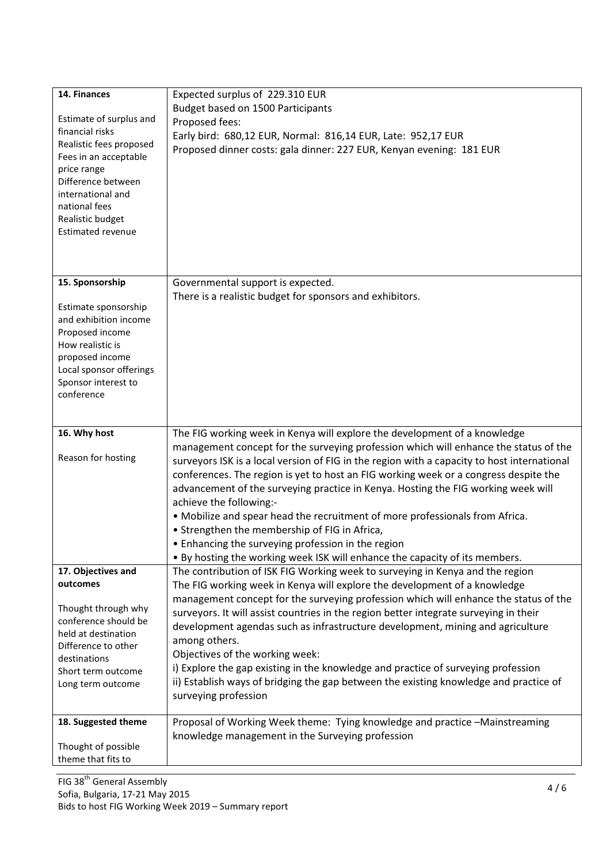| 14. Finances<br>Estimate of surplus and<br>financial risks<br>Realistic fees proposed<br>Fees in an acceptable<br>price range<br>Difference between<br>international and<br>national fees<br>Realistic budget<br><b>Estimated revenue</b> | Expected surplus of 229.310 EUR<br>Budget based on 1500 Participants<br>Proposed fees:<br>Early bird: 680,12 EUR, Normal: 816,14 EUR, Late: 952,17 EUR<br>Proposed dinner costs: gala dinner: 227 EUR, Kenyan evening: 181 EUR                                                                                                                                                                                                                                                                                                                                                                                                                                                                                                                 |
|-------------------------------------------------------------------------------------------------------------------------------------------------------------------------------------------------------------------------------------------|------------------------------------------------------------------------------------------------------------------------------------------------------------------------------------------------------------------------------------------------------------------------------------------------------------------------------------------------------------------------------------------------------------------------------------------------------------------------------------------------------------------------------------------------------------------------------------------------------------------------------------------------------------------------------------------------------------------------------------------------|
| 15. Sponsorship<br>Estimate sponsorship<br>and exhibition income<br>Proposed income<br>How realistic is<br>proposed income<br>Local sponsor offerings<br>Sponsor interest to<br>conference                                                | Governmental support is expected.<br>There is a realistic budget for sponsors and exhibitors.                                                                                                                                                                                                                                                                                                                                                                                                                                                                                                                                                                                                                                                  |
| 16. Why host<br>Reason for hosting                                                                                                                                                                                                        | The FIG working week in Kenya will explore the development of a knowledge<br>management concept for the surveying profession which will enhance the status of the<br>surveyors ISK is a local version of FIG in the region with a capacity to host international<br>conferences. The region is yet to host an FIG working week or a congress despite the<br>advancement of the surveying practice in Kenya. Hosting the FIG working week will<br>achieve the following:-<br>. Mobilize and spear head the recruitment of more professionals from Africa.<br>• Strengthen the membership of FIG in Africa,<br>• Enhancing the surveying profession in the region<br>. By hosting the working week ISK will enhance the capacity of its members. |
| 17. Objectives and<br>outcomes<br>Thought through why<br>conference should be<br>held at destination<br>Difference to other<br>destinations<br>Short term outcome<br>Long term outcome                                                    | The contribution of ISK FIG Working week to surveying in Kenya and the region<br>The FIG working week in Kenya will explore the development of a knowledge<br>management concept for the surveying profession which will enhance the status of the<br>surveyors. It will assist countries in the region better integrate surveying in their<br>development agendas such as infrastructure development, mining and agriculture<br>among others.<br>Objectives of the working week:<br>i) Explore the gap existing in the knowledge and practice of surveying profession<br>ii) Establish ways of bridging the gap between the existing knowledge and practice of<br>surveying profession                                                        |
| 18. Suggested theme<br>Thought of possible<br>theme that fits to                                                                                                                                                                          | Proposal of Working Week theme: Tying knowledge and practice -Mainstreaming<br>knowledge management in the Surveying profession                                                                                                                                                                                                                                                                                                                                                                                                                                                                                                                                                                                                                |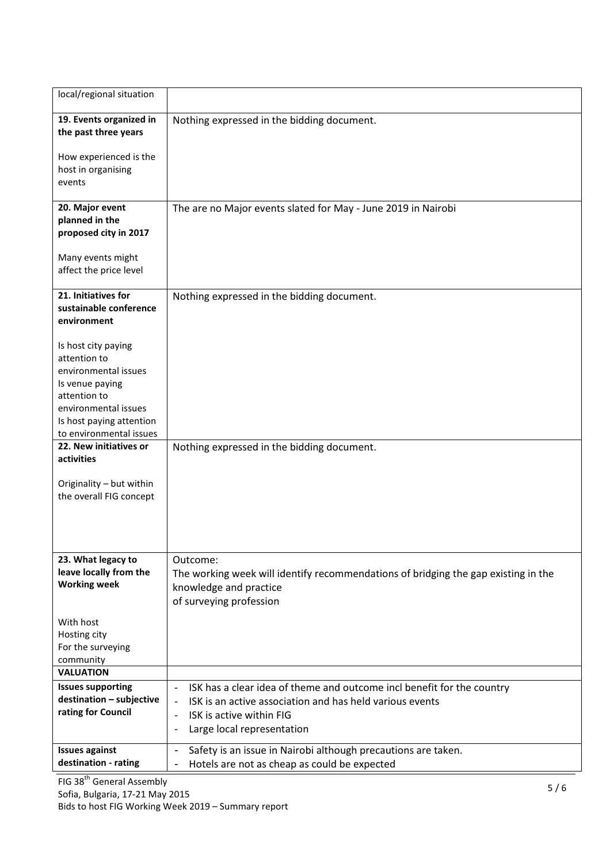| local/regional situation                                                                                                                                                      |                                                                                                                                                     |
|-------------------------------------------------------------------------------------------------------------------------------------------------------------------------------|-----------------------------------------------------------------------------------------------------------------------------------------------------|
| 19. Events organized in<br>the past three years                                                                                                                               | Nothing expressed in the bidding document.                                                                                                          |
| How experienced is the<br>host in organising<br>events                                                                                                                        |                                                                                                                                                     |
| 20. Major event<br>planned in the<br>proposed city in 2017                                                                                                                    | The are no Major events slated for May - June 2019 in Nairobi                                                                                       |
| Many events might<br>affect the price level                                                                                                                                   |                                                                                                                                                     |
| 21. Initiatives for<br>sustainable conference<br>environment                                                                                                                  | Nothing expressed in the bidding document.                                                                                                          |
| Is host city paying<br>attention to<br>environmental issues<br>Is venue paying<br>attention to<br>environmental issues<br>Is host paying attention<br>to environmental issues |                                                                                                                                                     |
| 22. New initiatives or<br>activities                                                                                                                                          | Nothing expressed in the bidding document.                                                                                                          |
| Originality - but within<br>the overall FIG concept                                                                                                                           |                                                                                                                                                     |
| 23. What legacy to<br>leave locally from the<br><b>Working week</b>                                                                                                           | Outcome:<br>The working week will identify recommendations of bridging the gap existing in the<br>knowledge and practice<br>of surveying profession |
| With host<br>Hosting city<br>For the surveying<br>community                                                                                                                   |                                                                                                                                                     |
| <b>VALUATION</b>                                                                                                                                                              |                                                                                                                                                     |
| <b>Issues supporting</b>                                                                                                                                                      | ISK has a clear idea of theme and outcome incl benefit for the country<br>$\qquad \qquad \blacksquare$                                              |
| destination - subjective                                                                                                                                                      | ISK is an active association and has held various events<br>$\qquad \qquad \blacksquare$                                                            |
| rating for Council                                                                                                                                                            | ISK is active within FIG<br>$\overline{\phantom{a}}$                                                                                                |
|                                                                                                                                                                               | Large local representation<br>$\overline{\phantom{a}}$                                                                                              |
| <b>Issues against</b>                                                                                                                                                         | Safety is an issue in Nairobi although precautions are taken.<br>$\overline{\phantom{a}}$                                                           |
| destination - rating                                                                                                                                                          | Hotels are not as cheap as could be expected<br>$\overline{\phantom{a}}$                                                                            |